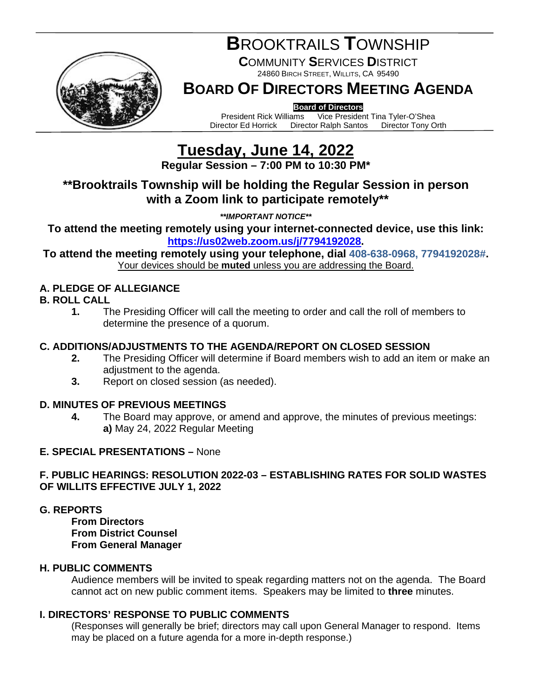

# **B**ROOKTRAILS **T**OWNSHIP

**C**OMMUNITY **S**ERVICES **D**ISTRICT 24860 BIRCH STREET, WILLITS, CA 95490

## **BOARD OF DIRECTORS MEETING AGENDA**

**Board of Directors**<br>President Rick Williams Vice Presider President Rick Williams Vice President Tina Tyler-O'Shea<br>Director Ed Horrick Director Ralph Santos Director Tony Orth Director Ralph Santos

# **Tuesday, June 14, 2022**

**Regular Session – 7:00 PM to 10:30 PM\***

## **\*\*Brooktrails Township will be holding the Regular Session in person with a Zoom link to participate remotely\*\***

*\*\*IMPORTANT NOTICE\*\**

**To attend the meeting remotely using your internet-connected device, use this link: [https://us02web.zoom.us/j/7794192028.](https://us02web.zoom.us/j/7794192028)**

**To attend the meeting remotely using your telephone, dial 408-638-0968, 7794192028#.** Your devices should be **muted** unless you are addressing the Board.

### **A. PLEDGE OF ALLEGIANCE**

#### **B. ROLL CALL**

**1.** The Presiding Officer will call the meeting to order and call the roll of members to determine the presence of a quorum.

#### **C. ADDITIONS/ADJUSTMENTS TO THE AGENDA/REPORT ON CLOSED SESSION**

- **2.** The Presiding Officer will determine if Board members wish to add an item or make an adjustment to the agenda.
- **3.** Report on closed session (as needed).

#### **D. MINUTES OF PREVIOUS MEETINGS**

**4.** The Board may approve, or amend and approve, the minutes of previous meetings: **a)** May 24, 2022 Regular Meeting

#### **E. SPECIAL PRESENTATIONS –** None

#### **F. PUBLIC HEARINGS: RESOLUTION 2022-03 – ESTABLISHING RATES FOR SOLID WASTES OF WILLITS EFFECTIVE JULY 1, 2022**

#### **G. REPORTS**

**From Directors From District Counsel From General Manager**

#### **H. PUBLIC COMMENTS**

Audience members will be invited to speak regarding matters not on the agenda. The Board cannot act on new public comment items. Speakers may be limited to **three** minutes.

#### **I. DIRECTORS' RESPONSE TO PUBLIC COMMENTS**

(Responses will generally be brief; directors may call upon General Manager to respond. Items may be placed on a future agenda for a more in-depth response.)